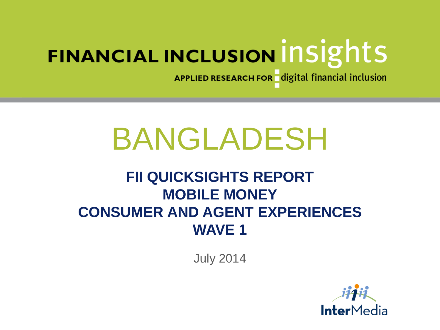APPLIED RESEARCH FOR digital financial inclusion

# BANGLADESH

# **FII QUICKSIGHTS REPORT MOBILE MONEY CONSUMER AND AGENT EXPERIENCES WAVE 1**

July 2014

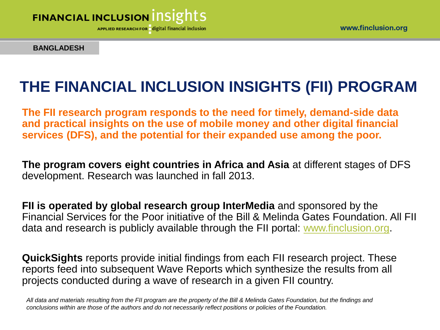

APPLIED RESEARCH FOR digital financial inclusion

**BANGLADESH**

# **THE FINANCIAL INCLUSION INSIGHTS (FII) PROGRAM**

**The FII research program responds to the need for timely, demand-side data and practical insights on the use of mobile money and other digital financial services (DFS), and the potential for their expanded use among the poor.** 

**The program covers eight countries in Africa and Asia** at different stages of DFS development. Research was launched in fall 2013.

**FII is operated by global research group InterMedia** and sponsored by the Financial Services for the Poor initiative of the Bill & Melinda Gates Foundation. All FII data and research is publicly available through the FII portal: [www.finclusion.org](http://www.finclusion.org/).

**QuickSights** reports provide initial findings from each FII research project. These reports feed into subsequent Wave Reports which synthesize the results from all projects conducted during a wave of research in a given FII country.

*All data and materials resulting from the FII program are the property of the Bill & Melinda Gates Foundation, but the findings and conclusions within are those of the authors and do not necessarily reflect positions or policies of the Foundation.*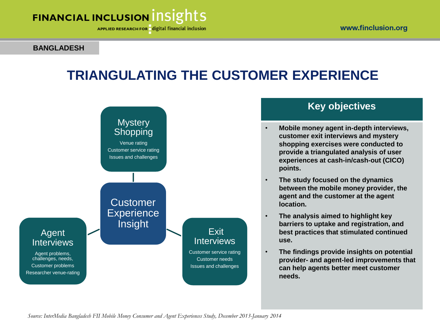APPLIED RESEARCH FOR digital financial inclusion

**BANGLADESH**

# **TRIANGULATING THE CUSTOMER EXPERIENCE**



### **Key objectives**

- **Mobile money agent in-depth interviews, customer exit interviews and mystery shopping exercises were conducted to provide a triangulated analysis of user experiences at cash-in/cash-out (CICO) points.**
- **The study focused on the dynamics between the mobile money provider, the agent and the customer at the agent location.**
- **The analysis aimed to highlight key barriers to uptake and registration, and best practices that stimulated continued use.**
- **The findings provide insights on potential provider- and agent-led improvements that can help agents better meet customer needs.**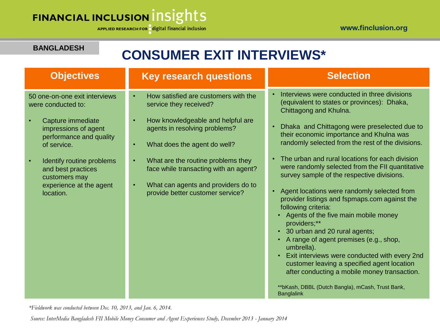APPLIED RESEARCH FOR digital financial inclusion

#### **BANGLADESH**

# **CONSUMER EXIT INTERVIEWS\***

### **Objectives**

50 one-on-one exit interviews were conducted to:

- Capture immediate impressions of agent performance and quality of service.
- Identify routine problems and best practices customers may experience at the agent location.

### **Key research questions**

- How satisfied are customers with the service they received?
- How knowledgeable and helpful are agents in resolving problems?
- What does the agent do well?
	- What are the routine problems they face while transacting with an agent?
	- What can agents and providers do to provide better customer service?

### **Selection**

- Interviews were conducted in three divisions (equivalent to states or provinces): Dhaka, Chittagong and Khulna.
- Dhaka and Chittagong were preselected due to their economic importance and Khulna was randomly selected from the rest of the divisions.
- The urban and rural locations for each division were randomly selected from the FII quantitative survey sample of the respective divisions.
- Agent locations were randomly selected from provider listings and fspmaps.com against the following criteria:
	- Agents of the five main mobile money providers;\*\*
	- 30 urban and 20 rural agents;
	- A range of agent premises (e.g., shop, umbrella).
	- Exit interviews were conducted with every 2nd customer leaving a specified agent location after conducting a mobile money transaction.

\*\*bKash, DBBL (Dutch Bangla), mCash, Trust Bank, **Banglalink** 

*\*Fieldwork was conducted between Dec. 10, 2013, and Jan. 6, 2014.*

*Source: InterMedia Bangladesh FII Mobile Money Consumer and Agent Experiences Study, December 2013 - January 2014*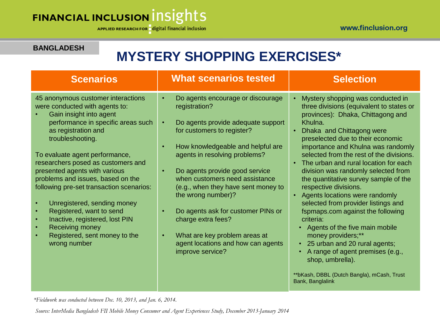#### **BANGLADESH**

# **MYSTERY SHOPPING EXERCISES\***

| <b>Scenarios</b>                                                                                                                                                                                                                                                                                                                                                                                                                                                                                                                                         | <b>What scenarios tested</b>                                                                                                                                                                                                                                                                                                                                                                                                                                                                                                | <b>Selection</b>                                                                                                                                                                                                                                                                                                                                                                                                                                                                                                                                                                                                                                                                                                                                                                               |
|----------------------------------------------------------------------------------------------------------------------------------------------------------------------------------------------------------------------------------------------------------------------------------------------------------------------------------------------------------------------------------------------------------------------------------------------------------------------------------------------------------------------------------------------------------|-----------------------------------------------------------------------------------------------------------------------------------------------------------------------------------------------------------------------------------------------------------------------------------------------------------------------------------------------------------------------------------------------------------------------------------------------------------------------------------------------------------------------------|------------------------------------------------------------------------------------------------------------------------------------------------------------------------------------------------------------------------------------------------------------------------------------------------------------------------------------------------------------------------------------------------------------------------------------------------------------------------------------------------------------------------------------------------------------------------------------------------------------------------------------------------------------------------------------------------------------------------------------------------------------------------------------------------|
| 45 anonymous customer interactions<br>were conducted with agents to:<br>Gain insight into agent<br>performance in specific areas such<br>as registration and<br>troubleshooting.<br>To evaluate agent performance,<br>researchers posed as customers and<br>presented agents with various<br>problems and issues, based on the<br>following pre-set transaction scenarios:<br>Unregistered, sending money<br>Registered, want to send<br>Inactive, registered, lost PIN<br>$\bullet$<br>Receiving money<br>Registered, sent money to the<br>wrong number | Do agents encourage or discourage<br>$\bullet$<br>registration?<br>Do agents provide adequate support<br>$\bullet$<br>for customers to register?<br>How knowledgeable and helpful are<br>agents in resolving problems?<br>Do agents provide good service<br>$\bullet$<br>when customers need assistance<br>(e.g., when they have sent money to<br>the wrong number)?<br>Do agents ask for customer PINs or<br>charge extra fees?<br>What are key problem areas at<br>agent locations and how can agents<br>improve service? | Mystery shopping was conducted in<br>three divisions (equivalent to states or<br>provinces): Dhaka, Chittagong and<br>Khulna.<br>Dhaka and Chittagong were<br>preselected due to their economic<br>importance and Khulna was randomly<br>selected from the rest of the divisions.<br>The urban and rural location for each<br>division was randomly selected from<br>the quantitative survey sample of the<br>respective divisions.<br>Agents locations were randomly<br>$\bullet$<br>selected from provider listings and<br>fspmaps.com against the following<br>criteria:<br>Agents of the five main mobile<br>money providers;**<br>25 urban and 20 rural agents;<br>A range of agent premises (e.g.,<br>shop, umbrella).<br>**bKash, DBBL (Dutch Bangla), mCash, Trust<br>Bank, Banglalink |

*\*Fieldwork was conducted between Dec. 10, 2013, and Jan. 6, 2014.*

*Source: InterMedia Bangladesh FII Mobile Money Consumer and Agent Experiences Study, December 2013-January 2014*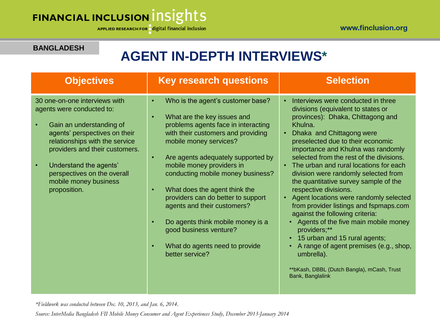### **BANGLADESH**

# **AGENT IN-DEPTH INTERVIEWS\***

| <b>Objectives</b>                                                                                                                                                                                                                                                                             | <b>Key research questions</b>                                                                                                                                                                                                                                                                                                                                                                                                                                                                                                       | <b>Selection</b>                                                                                                                                                                                                                                                                                                                                                                                                                                                                                                                                                                                                                                                                                                                                                                            |
|-----------------------------------------------------------------------------------------------------------------------------------------------------------------------------------------------------------------------------------------------------------------------------------------------|-------------------------------------------------------------------------------------------------------------------------------------------------------------------------------------------------------------------------------------------------------------------------------------------------------------------------------------------------------------------------------------------------------------------------------------------------------------------------------------------------------------------------------------|---------------------------------------------------------------------------------------------------------------------------------------------------------------------------------------------------------------------------------------------------------------------------------------------------------------------------------------------------------------------------------------------------------------------------------------------------------------------------------------------------------------------------------------------------------------------------------------------------------------------------------------------------------------------------------------------------------------------------------------------------------------------------------------------|
| 30 one-on-one interviews with<br>agents were conducted to:<br>Gain an understanding of<br>agents' perspectives on their<br>relationships with the service<br>providers and their customers.<br>Understand the agents'<br>perspectives on the overall<br>mobile money business<br>proposition. | Who is the agent's customer base?<br>What are the key issues and<br>$\bullet$<br>problems agents face in interacting<br>with their customers and providing<br>mobile money services?<br>Are agents adequately supported by<br>mobile money providers in<br>conducting mobile money business?<br>What does the agent think the<br>$\bullet$<br>providers can do better to support<br>agents and their customers?<br>Do agents think mobile money is a<br>good business venture?<br>What do agents need to provide<br>better service? | Interviews were conducted in three<br>divisions (equivalent to states or<br>provinces): Dhaka, Chittagong and<br>Khulna.<br>Dhaka and Chittagong were<br>preselected due to their economic<br>importance and Khulna was randomly<br>selected from the rest of the divisions.<br>The urban and rural locations for each<br>division were randomly selected from<br>the quantitative survey sample of the<br>respective divisions.<br>Agent locations were randomly selected<br>$\bullet$<br>from provider listings and fspmaps.com<br>against the following criteria:<br>• Agents of the five main mobile money<br>providers;**<br>• 15 urban and 15 rural agents;<br>A range of agent premises (e.g., shop,<br>umbrella).<br>**bKash, DBBL (Dutch Bangla), mCash, Trust<br>Bank, Banglalink |

*\*Fieldwork was conducted between Dec. 10, 2013, and Jan. 6, 2014.*

*Source: InterMedia Bangladesh FII Mobile Money Consumer and Agent Experiences Study, December 2013-January 2014*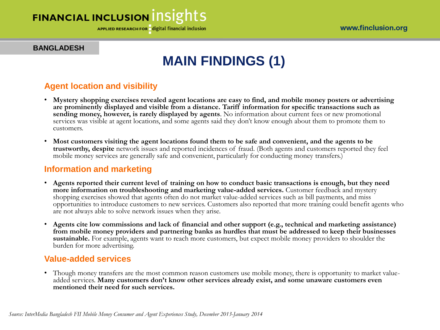APPLIED RESEARCH FOR digital financial inclusion

www.finclusion.org

**BANGLADESH** 

# **MAIN FINDINGS (1)**

### **Agent location and visibility**

- **Mystery shopping exercises revealed agent locations are easy to find, and mobile money posters or advertising are prominently displayed and visible from a distance. Tariff information for specific transactions such as sending money, however, is rarely displayed by agents**. No information about current fees or new promotional services was visible at agent locations, and some agents said they don't know enough about them to promote them to customers.
- **Most customers visiting the agent locations found them to be safe and convenient, and the agents to be trustworthy, despite** network issues and reported incidences of fraud. (Both agents and customers reported they feel mobile money services are generally safe and convenient, particularly for conducting money transfers.)

### **Information and marketing**

- **Agents reported their current level of training on how to conduct basic transactions is enough, but they need more information on troubleshooting and marketing value-added services.** Customer feedback and mystery shopping exercises showed that agents often do not market value-added services such as bill payments, and miss opportunities to introduce customers to new services. Customers also reported that more training could benefit agents who are not always able to solve network issues when they arise.
- **Agents cite low commissions and lack of financial and other support (e.g., technical and marketing assistance) from mobile money providers and partnering banks as hurdles that must be addressed to keep their businesses sustainable.** For example, agents want to reach more customers, but expect mobile money providers to shoulder the burden for more advertising.

### **Value-added services**

• Though money transfers are the most common reason customers use mobile money, there is opportunity to market valueadded services. **Many customers don't know other services already exist, and some unaware customers even mentioned their need for such services.**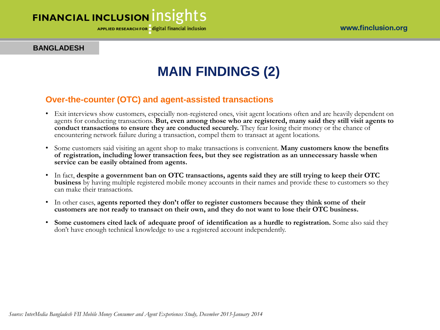APPLIED RESEARCH FOR digital financial inclusion

**BANGLADESH** 

# **MAIN FINDINGS (2)**

### **Over-the-counter (OTC) and agent-assisted transactions**

- Exit interviews show customers, especially non-registered ones, visit agent locations often and are heavily dependent on agents for conducting transactions. **But, even among those who are registered, many said they still visit agents to conduct transactions to ensure they are conducted securely.** They fear losing their money or the chance of encountering network failure during a transaction, compel them to transact at agent locations.
- Some customers said visiting an agent shop to make transactions is convenient. **Many customers know the benefits of registration, including lower transaction fees, but they see registration as an unnecessary hassle when service can be easily obtained from agents.**
- In fact, **despite a government ban on OTC transactions, agents said they are still trying to keep their OTC business** by having multiple registered mobile money accounts in their names and provide these to customers so they can make their transactions.
- In other cases, **agents reported they don't offer to register customers because they think some of their customers are not ready to transact on their own, and they do not want to lose their OTC business.**
- **Some customers cited lack of adequate proof of identification as a hurdle to registration.** Some also said they don't have enough technical knowledge to use a registered account independently.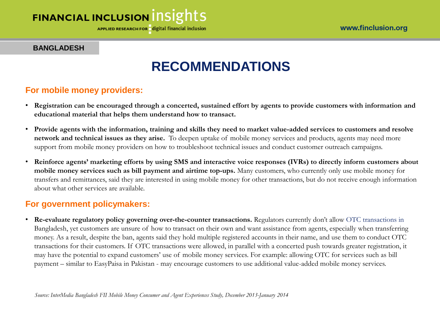**APPLIED RESEARCH FOR** digital financial inclusion

**BANGLADESH**

#### www.finclusion.org

# **RECOMMENDATIONS**

### **For mobile money providers:**

- **Registration can be encouraged through a concerted, sustained effort by agents to provide customers with information and educational material that helps them understand how to transact.**
- **Provide agents with the information, training and skills they need to market value-added services to customers and resolve network and technical issues as they arise.** To deepen uptake of mobile money services and products, agents may need more support from mobile money providers on how to troubleshoot technical issues and conduct customer outreach campaigns.
- **Reinforce agents' marketing efforts by using SMS and interactive voice responses (IVRs) to directly inform customers about mobile money services such as bill payment and airtime top-ups.** Many customers, who currently only use mobile money for transfers and remittances, said they are interested in using mobile money for other transactions, but do not receive enough information about what other services are available.

### **For government policymakers:**

• **Re-evaluate regulatory policy governing over-the-counter transactions.** Regulators currently don't allow OTC transactions in Bangladesh, yet customers are unsure of how to transact on their own and want assistance from agents, especially when transferring money. As a result, despite the ban, agents said they hold multiple registered accounts in their name, and use them to conduct OTC transactions for their customers. If OTC transactions were allowed, in parallel with a concerted push towards greater registration, it may have the potential to expand customers' use of mobile money services. For example: allowing OTC for services such as bill payment – similar to EasyPaisa in Pakistan - may encourage customers to use additional value-added mobile money services.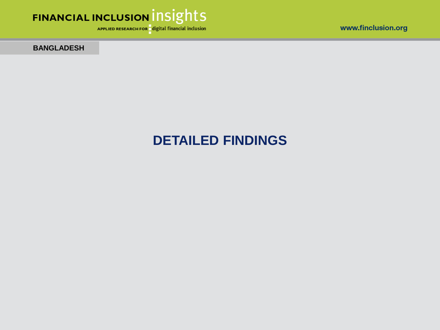

APPLIED RESEARCH FOR digital financial inclusion

**BANGLADESH**

## **DETAILED FINDINGS**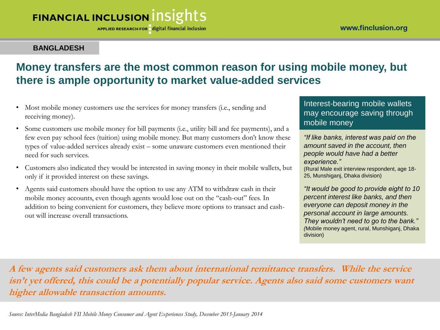APPLIED RESEARCH FOR digital financial inclusion

### **BANGLADESH**

### **Money transfers are the most common reason for using mobile money, but there is ample opportunity to market value-added services**

- Most mobile money customers use the services for money transfers (i.e., sending and receiving money).
- Some customers use mobile money for bill payments (i.e., utility bill and fee payments), and a few even pay school fees (tuition) using mobile money. But many customers don't know these types of value-added services already exist – some unaware customers even mentioned their need for such services.
- Customers also indicated they would be interested in saving money in their mobile wallets, but only if it provided interest on these savings.
- Agents said customers should have the option to use any ATM to withdraw cash in their mobile money accounts, even though agents would lose out on the "cash-out" fees. In addition to being convenient for customers, they believe more options to transact and cashout will increase overall transactions.

### Interest-bearing mobile wallets may encourage saving through mobile money

*"If like banks, interest was paid on the amount saved in the account, then people would have had a better experience."*

(Rural Male exit interview respondent, age 18- 25, Munshiganj, Dhaka division)

*"It would be good to provide eight to 10 percent interest like banks, and then everyone can deposit money in the personal account in large amounts. They wouldn't need to go to the bank." (*Mobile money agent, rural, Munshiganj, Dhaka division)

**A few agents said customers ask them about international remittance transfers. While the service isn't yet offered, this could be a potentially popular service. Agents also said some customers want higher allowable transaction amounts.**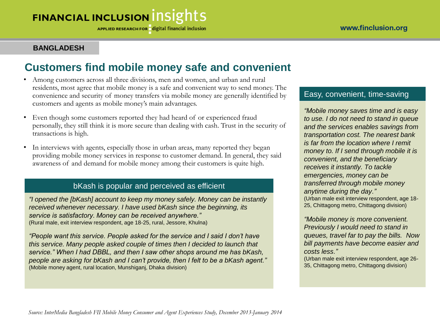**APPLIED RESEARCH FOR** digital financial inclusion

#### **BANGLADESH**

### **Customers find mobile money safe and convenient**

- Among customers across all three divisions, men and women, and urban and rural residents, most agree that mobile money is a safe and convenient way to send money. The convenience and security of money transfers via mobile money are generally identified by customers and agents as mobile money's main advantages.
- Even though some customers reported they had heard of or experienced fraud personally, they still think it is more secure than dealing with cash. Trust in the security of transactions is high.
- In interviews with agents, especially those in urban areas, many reported they began providing mobile money services in response to customer demand. In general, they said awareness of and demand for mobile money among their customers is quite high.

#### bKash is popular and perceived as efficient

*"I opened the [bKash] account to keep my money safely. Money can be instantly received whenever necessary. I have used bKash since the beginning, its service is satisfactory. Money can be received anywhere."*  (Rural male, exit interview respondent, age 18-25, rural, Jessore, Khulna)

*"People want this service. People asked for the service and I said I don't have this service. Many people asked couple of times then I decided to launch that service." When I had DBBL, and then I saw other shops around me has bKash, people are asking for bKash and I can't provide, then I felt to be a bKash agent."*  (Mobile money agent, rural location, Munshiganj, Dhaka division)

#### Easy, convenient, time-saving

*"Mobile money saves time and is easy to use. I do not need to stand in queue and the services enables savings from transportation cost. The nearest bank is far from the location where I remit money to. If I send through mobile it is convenient, and the beneficiary receives it instantly. To tackle emergencies, money can be transferred through mobile money anytime during the day."* (Urban male exit interview respondent, age 18- 25, Chittagong metro, Chittagong division)

*"Mobile money is more convenient. Previously I would need to stand in queues, travel far to pay the bills. Now bill payments have become easier and costs less."* 

(Urban male exit interview respondent, age 26- 35, Chittagong metro, Chittagong division)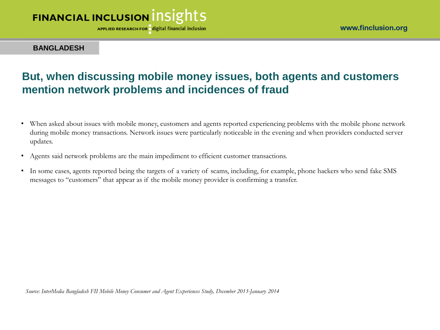**APPLIED RESEARCH FOR** digital financial inclusion

www.finclusion.org

**BANGLADESH**

### **But, when discussing mobile money issues, both agents and customers mention network problems and incidences of fraud**

- When asked about issues with mobile money, customers and agents reported experiencing problems with the mobile phone network during mobile money transactions. Network issues were particularly noticeable in the evening and when providers conducted server updates.
- Agents said network problems are the main impediment to efficient customer transactions.
- In some cases, agents reported being the targets of a variety of scams, including, for example, phone hackers who send fake SMS messages to "customers" that appear as if the mobile money provider is confirming a transfer.

*Source: InterMedia Bangladesh FII Mobile Money Consumer and Agent Experiences Study, December 2013-January 2014*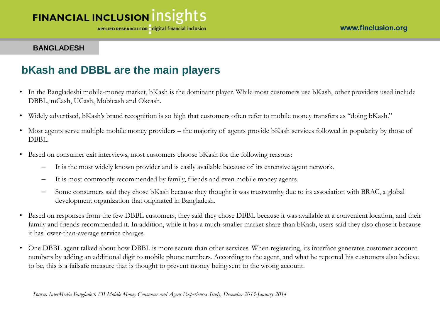APPLIED RESEARCH FOR digital financial inclusion

#### **BANGLADESH**

### **bKash and DBBL are the main players**

- In the Bangladeshi mobile-money market, bKash is the dominant player. While most customers use bKash, other providers used include DBBL, mCash, UCash, Mobicash and Okcash.
- Widely advertised, bKash's brand recognition is so high that customers often refer to mobile money transfers as "doing bKash."
- Most agents serve multiple mobile money providers the majority of agents provide bKash services followed in popularity by those of DBBL.
- Based on consumer exit interviews, most customers choose bKash for the following reasons:
	- It is the most widely known provider and is easily available because of its extensive agent network.
	- It is most commonly recommended by family, friends and even mobile money agents.
	- Some consumers said they chose bKash because they thought it was trustworthy due to its association with BRAC, a global development organization that originated in Bangladesh.
- Based on responses from the few DBBL customers, they said they chose DBBL because it was available at a convenient location, and their family and friends recommended it. In addition, while it has a much smaller market share than bKash, users said they also chose it because it has lower-than-average service charges.
- One DBBL agent talked about how DBBL is more secure than other services. When registering, its interface generates customer account numbers by adding an additional digit to mobile phone numbers. According to the agent, and what he reported his customers also believe to be, this is a failsafe measure that is thought to prevent money being sent to the wrong account.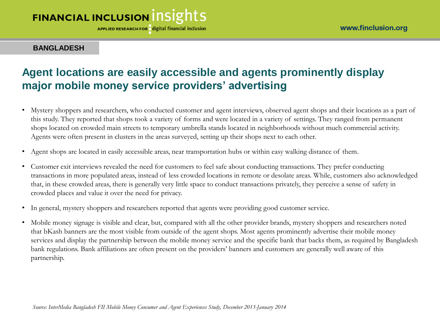APPLIED RESEARCH FOR digital financial inclusion

www.finclusion.org

**BANGLADESH**

### **Agent locations are easily accessible and agents prominently display major mobile money service providers' advertising**

- Mystery shoppers and researchers, who conducted customer and agent interviews, observed agent shops and their locations as a part of this study. They reported that shops took a variety of forms and were located in a variety of settings. They ranged from permanent shops located on crowded main streets to temporary umbrella stands located in neighborhoods without much commercial activity. Agents were often present in clusters in the areas surveyed, setting up their shops next to each other.
- Agent shops are located in easily accessible areas, near transportation hubs or within easy walking distance of them.
- Customer exit interviews revealed the need for customers to feel safe about conducting transactions. They prefer conducting transactions in more populated areas, instead of less crowded locations in remote or desolate areas. While, customers also acknowledged that, in these crowded areas, there is generally very little space to conduct transactions privately, they perceive a sense of safety in crowded places and value it over the need for privacy.
- In general, mystery shoppers and researchers reported that agents were providing good customer service.
- Mobile money signage is visible and clear, but, compared with all the other provider brands, mystery shoppers and researchers noted that bKash banners are the most visible from outside of the agent shops. Most agents prominently advertise their mobile money services and display the partnership between the mobile money service and the specific bank that backs them, as required by Bangladesh bank regulations. Bank affiliations are often present on the providers' banners and customers are generally well aware of this partnership.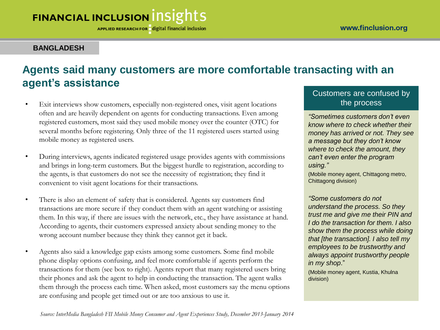APPLIED RESEARCH FOR digital financial inclusion

### **BANGLADESH**

### **Agents said many customers are more comfortable transacting with an agent's assistance**

- Exit interviews show customers, especially non-registered ones, visit agent locations often and are heavily dependent on agents for conducting transactions. Even among registered customers, most said they used mobile money over the counter (OTC) for several months before registering. Only three of the 11 registered users started using mobile money as registered users.
- During interviews, agents indicated registered usage provides agents with commissions and brings in long-term customers. But the biggest hurdle to registration, according to the agents, is that customers do not see the necessity of registration; they find it convenient to visit agent locations for their transactions.
- There is also an element of safety that is considered. Agents say customers find transactions are more secure if they conduct them with an agent watching or assisting them. In this way, if there are issues with the network, etc., they have assistance at hand. According to agents, their customers expressed anxiety about sending money to the wrong account number because they think they cannot get it back.
- Agents also said a knowledge gap exists among some customers. Some find mobile phone display options confusing, and feel more comfortable if agents perform the transactions for them (see box to right). Agents report that many registered users bring their phones and ask the agent to help in conducting the transaction. The agent walks them through the process each time. When asked, most customers say the menu options are confusing and people get timed out or are too anxious to use it.

### Customers are confused by the process

*"Sometimes customers don't even know where to check whether their money has arrived or not. They see a message but they don't know where to check the amount, they can't even enter the program using."* 

(Mobile money agent, Chittagong metro, Chittagong division)

*"Some customers do not understand the process. So they trust me and give me their PIN and I do the transaction for them. I also show them the process while doing that [the transaction]. I also tell my employees to be trustworthy and always appoint trustworthy people in my shop*."

(Mobile money agent, Kustia, Khulna division)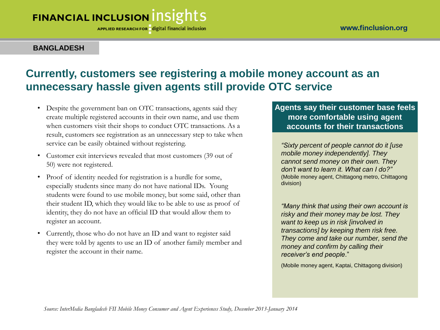APPLIED RESEARCH FOR digital financial inclusion

### **BANGLADESH**

### **Currently, customers see registering a mobile money account as an unnecessary hassle given agents still provide OTC service**

- Despite the government ban on OTC transactions, agents said they create multiple registered accounts in their own name, and use them when customers visit their shops to conduct OTC transactions. As a result, customers see registration as an unnecessary step to take when service can be easily obtained without registering.
- Customer exit interviews revealed that most customers (39 out of 50) were not registered.
- Proof of identity needed for registration is a hurdle for some, especially students since many do not have national IDs. Young students were found to use mobile money, but some said, other than their student ID, which they would like to be able to use as proof of identity, they do not have an official ID that would allow them to register an account.
- Currently, those who do not have an ID and want to register said they were told by agents to use an ID of another family member and register the account in their name.

### **Agents say their customer base feels more comfortable using agent accounts for their transactions**

*"Sixty percent of people cannot do it [use mobile money independently]. They cannot send money on their own. They don't want to learn it. What can I do?"*  (Mobile money agent, Chittagong metro, Chittagong division)

*"Many think that using their own account is risky and their money may be lost. They want to keep us in risk [involved in transactions] by keeping them risk free. They come and take our number, send the money and confirm by calling their receiver's end people*."

(Mobile money agent, Kaptai, Chittagong division)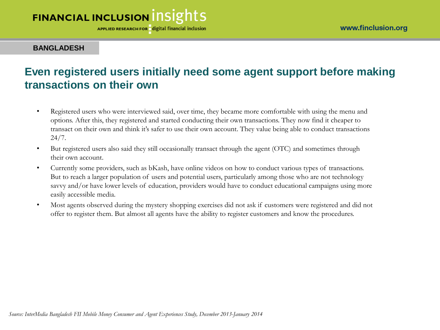APPLIED RESEARCH FOR digital financial inclusion

**BANGLADESH**

### **Even registered users initially need some agent support before making transactions on their own**

- Registered users who were interviewed said, over time, they became more comfortable with using the menu and options. After this, they registered and started conducting their own transactions. They now find it cheaper to transact on their own and think it's safer to use their own account. They value being able to conduct transactions 24/7.
- But registered users also said they still occasionally transact through the agent (OTC) and sometimes through their own account.
- Currently some providers, such as bKash, have online videos on how to conduct various types of transactions. But to reach a larger population of users and potential users, particularly among those who are not technology savvy and/or have lower levels of education, providers would have to conduct educational campaigns using more easily accessible media.
- Most agents observed during the mystery shopping exercises did not ask if customers were registered and did not offer to register them. But almost all agents have the ability to register customers and know the procedures.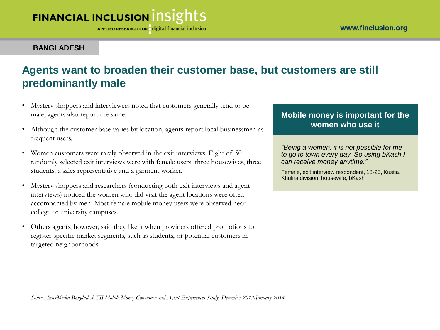APPLIED RESEARCH FOR digital financial inclusion

#### **BANGLADESH**

### **Agents want to broaden their customer base, but customers are still predominantly male**

- Mystery shoppers and interviewers noted that customers generally tend to be male; agents also report the same.
- Although the customer base varies by location, agents report local businessmen as frequent users.
- Women customers were rarely observed in the exit interviews. Eight of 50 randomly selected exit interviews were with female users: three housewives, three students, a sales representative and a garment worker.
- Mystery shoppers and researchers (conducting both exit interviews and agent interviews) noticed the women who did visit the agent locations were often accompanied by men. Most female mobile money users were observed near college or university campuses.
- Others agents, however, said they like it when providers offered promotions to register specific market segments, such as students, or potential customers in targeted neighborhoods.

### **Mobile money is important for the women who use it**

*"Being a women, it is not possible for me to go to town every day. So using bKash I can receive money anytime."* 

Female, exit interview respondent, 18-25, Kustia, Khulna division, housewife, bKash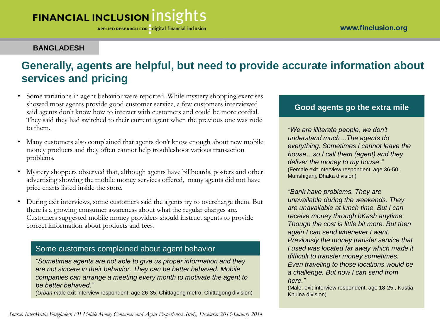APPLIED RESEARCH FOR digital financial inclusion

#### **BANGLADESH**

### **Generally, agents are helpful, but need to provide accurate information about services and pricing**

- Some variations in agent behavior were reported. While mystery shopping exercises showed most agents provide good customer service, a few customers interviewed said agents don't know how to interact with customers and could be more cordial. They said they had switched to their current agent when the previous one was rude to them.
- Many customers also complained that agents don't know enough about new mobile money products and they often cannot help troubleshoot various transaction problems.
- Mystery shoppers observed that, although agents have billboards, posters and other advertising showing the mobile money services offered, many agents did not have price charts listed inside the store.
- During exit interviews, some customers said the agents try to overcharge them. But there is a growing consumer awareness about what the regular charges are. Customers suggested mobile money providers should instruct agents to provide correct information about products and fees.

### Some customers complained about agent behavior

*"Sometimes agents are not able to give us proper information and they are not sincere in their behavior. They can be better behaved. Mobile companies can arrange a meeting every month to motivate the agent to be better behaved."* 

*(Urban m*ale exit interview respondent, age 26-35, Chittagong metro, Chittagong division)

#### **Good agents go the extra mile**

*"We are illiterate people, we don't understand much…The agents do everything. Sometimes I cannot leave the house…so I call them (agent) and they deliver the money to my house."* (Female exit interview respondent, age 36-50, Munshiganj, Dhaka division)

*"Bank have problems. They are unavailable during the weekends. They are unavailable at lunch time. But I can receive money through bKash anytime. Though the cost is little bit more. But then again I can send whenever I want. Previously the money transfer service that I used was located far away which made it difficult to transfer money sometimes. Even traveling to those locations would be a challenge. But now I can send from here."* 

(Male, exit interview respondent, age 18-25 , Kustia, Khulna division)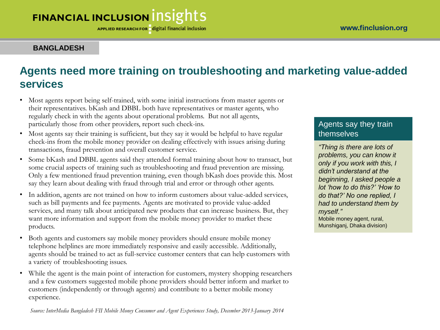APPLIED RESEARCH FOR digital financial inclusion

**BANGLADESH**

### **Agents need more training on troubleshooting and marketing value-added services**

- Most agents report being self-trained, with some initial instructions from master agents or their representatives. bKash and DBBL both have representatives or master agents, who regularly check in with the agents about operational problems. But not all agents, particularly those from other providers, report such check-ins.
- Most agents say their training is sufficient, but they say it would be helpful to have regular check-ins from the mobile money provider on dealing effectively with issues arising during transactions, fraud prevention and overall customer service.
- Some bKash and DBBL agents said they attended formal training about how to transact, but some crucial aspects of training such as troubleshooting and fraud prevention are missing. Only a few mentioned fraud prevention training, even though bKash does provide this. Most say they learn about dealing with fraud through trial and error or through other agents.
- In addition, agents are not trained on how to inform customers about value-added services, such as bill payments and fee payments. Agents are motivated to provide value-added services, and many talk about anticipated new products that can increase business. But, they want more information and support from the mobile money provider to market these products.
- Both agents and customers say mobile money providers should ensure mobile money telephone helplines are more immediately responsive and easily accessible. Additionally, agents should be trained to act as full-service customer centers that can help customers with a variety of troubleshooting issues.
- While the agent is the main point of interaction for customers, mystery shopping researchers and a few customers suggested mobile phone providers should better inform and market to customers (independently or through agents) and contribute to a better mobile money experience.

*Source: InterMedia Bangladesh FII Mobile Money Consumer and Agent Experiences Study, December 2013-January 2014* 

### Agents say they train themselves

*"Thing is there are lots of problems, you can know it only if you work with this, I didn't understand at the beginning, I asked people a lot 'how to do this?' 'How to do that?' No one replied, I had to understand them by myself."* Mobile money agent, rural, Munshiganj, Dhaka division)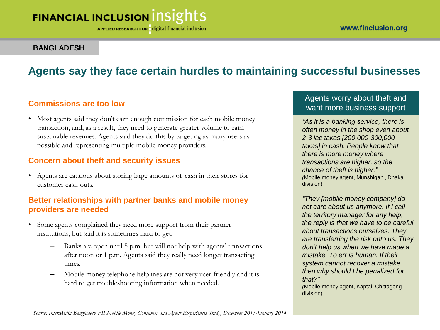**APPLIED RESEARCH FOR digital financial inclusion** 

#### **BANGLADESH**

### **Agents say they face certain hurdles to maintaining successful businesses**

### **Commissions are too low**

• Most agents said they don't earn enough commission for each mobile money transaction, and, as a result, they need to generate greater volume to earn sustainable revenues. Agents said they do this by targeting as many users as possible and representing multiple mobile money providers.

### **Concern about theft and security issues**

• Agents are cautious about storing large amounts of cash in their stores for customer cash-outs.

### **Better relationships with partner banks and mobile money providers are needed**

- Some agents complained they need more support from their partner institutions, but said it is sometimes hard to get:
	- Banks are open until 5 p.m. but will not help with agents' transactions after noon or 1 p.m. Agents said they really need longer transacting times.
	- Mobile money telephone helplines are not very user-friendly and it is hard to get troubleshooting information when needed.

### Agents worry about theft and want more business support

*"As it is a banking service, there is often money in the shop even about 2-3 lac takas [200,000-300,000 takas] in cash. People know that there is more money where transactions are higher, so the chance of theft is higher." (*Mobile money agent, Munshiganj, Dhaka division)

*"They [mobile money company] do not care about us anymore. If I call the territory manager for any help, the reply is that we have to be careful about transactions ourselves. They are transferring the risk onto us. They don't help us when we have made a mistake. To err is human. If their system cannot recover a mistake, then why should I be penalized for that?"* 

*(*Mobile money agent, Kaptai, Chittagong division)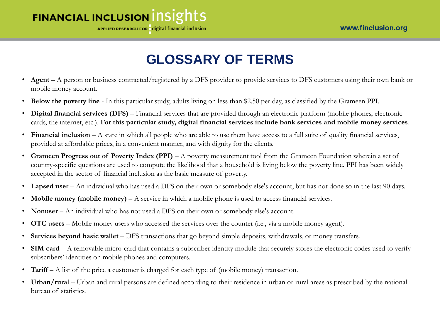APPLIED RESEARCH FOR digital financial inclusion

# **GLOSSARY OF TERMS**

- **Agent** A person or business contracted/registered by a DFS provider to provide services to DFS customers using their own bank or mobile money account.
- **Below the poverty line**  In this particular study, adults living on less than \$2.50 per day, as classified by the Grameen PPI.
- **Digital financial services (DFS)** Financial services that are provided through an electronic platform (mobile phones, electronic cards, the internet, etc.). **For this particular study, digital financial services include bank services and mobile money services**.
- **Financial inclusion** A state in which all people who are able to use them have access to a full suite of quality financial services, provided at affordable prices, in a convenient manner, and with dignity for the clients.
- **Grameen Progress out of Poverty Index (PPI)**  A poverty measurement tool from the Grameen Foundation wherein a set of country-specific questions are used to compute the likelihood that a household is living below the poverty line. PPI has been widely accepted in the sector of financial inclusion as the basic measure of poverty.
- Lapsed user An individual who has used a DFS on their own or somebody else's account, but has not done so in the last 90 days.
- **Mobile money (mobile money)** A service in which a mobile phone is used to access financial services.
- **Nonuser** An individual who has not used a DFS on their own or somebody else's account.
- **OTC users** Mobile money users who accessed the services over the counter (i.e., via a mobile money agent).
- **Services beyond basic wallet**  DFS transactions that go beyond simple deposits, withdrawals, or money transfers.
- **SIM card** A removable micro-card that contains a subscriber identity module that securely stores the electronic codes used to verify subscribers' identities on mobile phones and computers.
- **Tariff** A list of the price a customer is charged for each type of (mobile money) transaction.
- Urban/rural Urban and rural persons are defined according to their residence in urban or rural areas as prescribed by the national bureau of statistics.